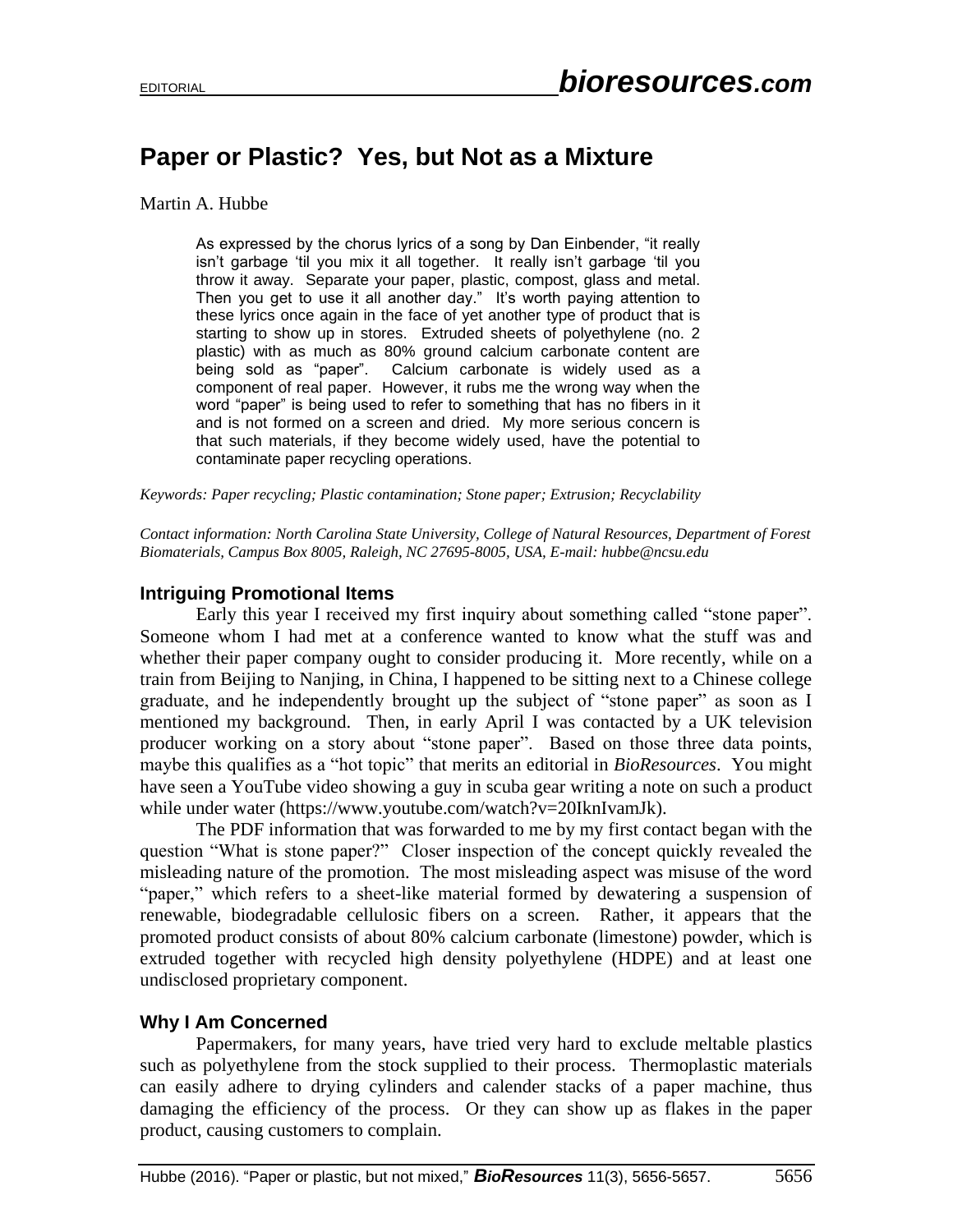# **Paper or Plastic? Yes, but Not as a Mixture**

#### Martin A. Hubbe

As expressed by the chorus lyrics of a song by Dan Einbender, "it really isn't garbage 'til you mix it all together. It really isn't garbage 'til you throw it away. Separate your paper, plastic, compost, glass and metal. Then you get to use it all another day." It's worth paying attention to these lyrics once again in the face of yet another type of product that is starting to show up in stores. Extruded sheets of polyethylene (no. 2 plastic) with as much as 80% ground calcium carbonate content are being sold as "paper". Calcium carbonate is widely used as a component of real paper. However, it rubs me the wrong way when the word "paper" is being used to refer to something that has no fibers in it and is not formed on a screen and dried. My more serious concern is that such materials, if they become widely used, have the potential to contaminate paper recycling operations.

*Keywords: Paper recycling; Plastic contamination; Stone paper; Extrusion; Recyclability* 

*Contact information: North Carolina State University, College of Natural Resources, Department of Forest Biomaterials, Campus Box 8005, Raleigh, NC 27695-8005, USA, E-mail: hubbe@ncsu.edu*

## **Intriguing Promotional Items**

Early this year I received my first inquiry about something called "stone paper". Someone whom I had met at a conference wanted to know what the stuff was and whether their paper company ought to consider producing it. More recently, while on a train from Beijing to Nanjing, in China, I happened to be sitting next to a Chinese college graduate, and he independently brought up the subject of "stone paper" as soon as I mentioned my background. Then, in early April I was contacted by a UK television producer working on a story about "stone paper". Based on those three data points, maybe this qualifies as a "hot topic" that merits an editorial in *BioResources*. You might have seen a YouTube video showing a guy in scuba gear writing a note on such a product while under water (https://www.youtube.com/watch?v=20IknIvamJk).

The PDF information that was forwarded to me by my first contact began with the question "What is stone paper?" Closer inspection of the concept quickly revealed the misleading nature of the promotion. The most misleading aspect was misuse of the word "paper," which refers to a sheet-like material formed by dewatering a suspension of renewable, biodegradable cellulosic fibers on a screen. Rather, it appears that the promoted product consists of about 80% calcium carbonate (limestone) powder, which is extruded together with recycled high density polyethylene (HDPE) and at least one undisclosed proprietary component.

### **Why I Am Concerned**

Papermakers, for many years, have tried very hard to exclude meltable plastics such as polyethylene from the stock supplied to their process. Thermoplastic materials can easily adhere to drying cylinders and calender stacks of a paper machine, thus damaging the efficiency of the process. Or they can show up as flakes in the paper product, causing customers to complain.